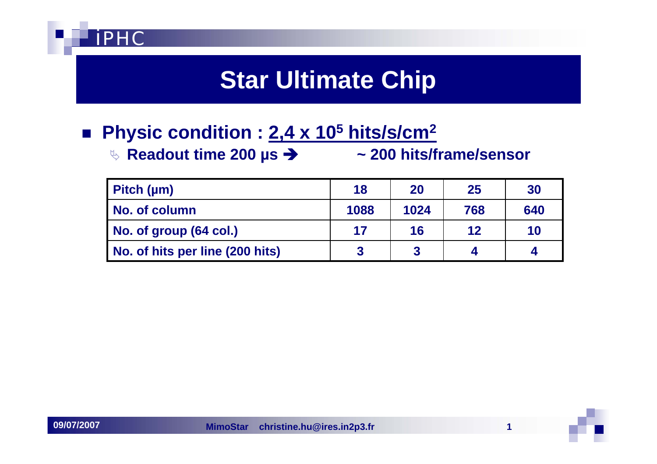

## **Star Ultimate Chip**

#### **Physic condition : 2,4 x 105 hits/s/cm2**

ª **Readout time 200 µs** Î **~ 200 hits/frame/sensor**

| Pitch $(\mu m)$                 | 18   | 20   | 25  | 30  |
|---------------------------------|------|------|-----|-----|
| No. of column                   | 1088 | 1024 | 768 | 640 |
| No. of group (64 col.)          | 17   | 16   | 12  | 10  |
| No. of hits per line (200 hits) |      |      |     |     |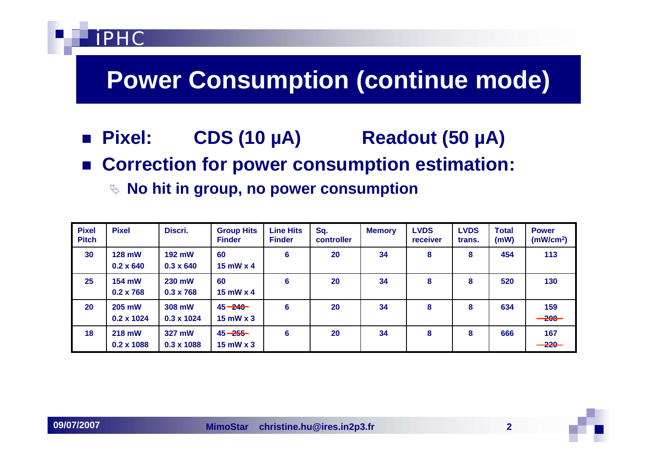## **Power Consumption (continue mode)**

- **Pixel: Pixel: CDS (10 µA) Readout (50 µA)**
- Correction for power consumption estimation:
	- ª **No hit in group, no power consumption**

| <b>Pixel</b><br><b>Pitch</b> | <b>Pixel</b>                | Discri.                           | <b>Group Hits</b><br><b>Finder</b> | <b>Line Hits</b><br><b>Finder</b> | Sq.<br>controller | <b>Memory</b> | <b>LVDS</b><br>receiver | <b>LVDS</b><br>trans. | <b>Total</b><br>(mW) | <b>Power</b><br>(mW/cm <sup>2</sup> ) |
|------------------------------|-----------------------------|-----------------------------------|------------------------------------|-----------------------------------|-------------------|---------------|-------------------------|-----------------------|----------------------|---------------------------------------|
| 30                           | 128 mW<br>$0.2 \times 640$  | <b>192 mW</b><br>$0.3 \times 640$ | 60<br>$15$ mW $\times$ 4           | 6                                 | 20                | 34            | 8                       | 8                     | 454                  | 113                                   |
| 25                           | 154 mW<br>$0.2 \times 768$  | 230 mW<br>$0.3 \times 768$        | 60<br>$15$ mW $\times$ 4           | 6                                 | 20                | 34            | 8                       | 8                     | 520                  | 130                                   |
| 20                           | 205 mW<br>$0.2 \times 1024$ | 308 mW<br>$0.3 \times 1024$       | $45 - 240$<br>$15$ mW $\times$ 3   | $6\phantom{1}6$                   | 20                | 34            | 8                       | 8                     | 634                  | 159<br>$-208-$                        |
| 18                           | 218 mW<br>$0.2 \times 1088$ | 327 mW<br>0.3 x 1088              | $45 - 255$<br>$15$ mW $\times$ 3   | 6                                 | 20                | 34            | 8                       | 8                     | 666                  | 167<br>$-220-$                        |

**PHC** 

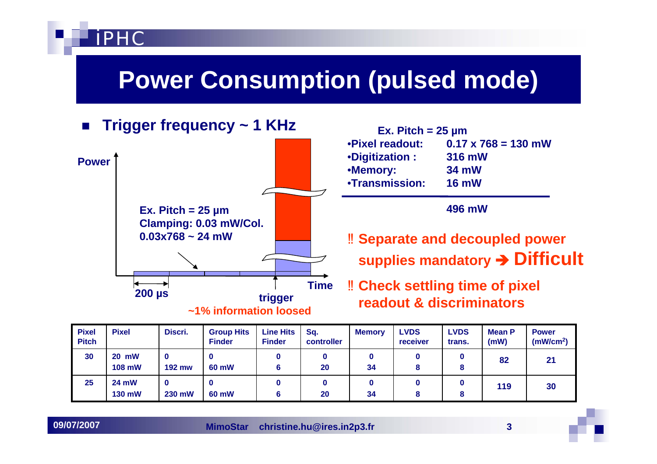## **Power Consumption (pulsed mode)**



| <b>Pixel</b><br><b>Pitch</b> | <b>Pixel</b>                  | Discri.       | <b>Group Hits</b><br><b>Finder</b> | <b>Line Hits</b><br><b>Finder</b> | Sq.<br>controller | <b>Memory</b> | <b>LVDS</b><br>receiver | <b>LVDS</b><br>trans. | <b>Mean P</b><br>(mW) | <b>Power</b><br>(mW/cm <sup>2</sup> ) |
|------------------------------|-------------------------------|---------------|------------------------------------|-----------------------------------|-------------------|---------------|-------------------------|-----------------------|-----------------------|---------------------------------------|
| 30                           | <b>20 mW</b><br><b>108 mW</b> | <b>192 mw</b> | O<br>60 mW                         | 6                                 | 20                | U<br>34       |                         | 8                     | 82                    | 21                                    |
| 25                           | <b>24 mW</b><br>130 mW        | 230 mW        | 60 mW                              | 6                                 | 20                | 0<br>34       |                         | 8                     | 119                   | 30                                    |

**09/07/2007**

**PHC**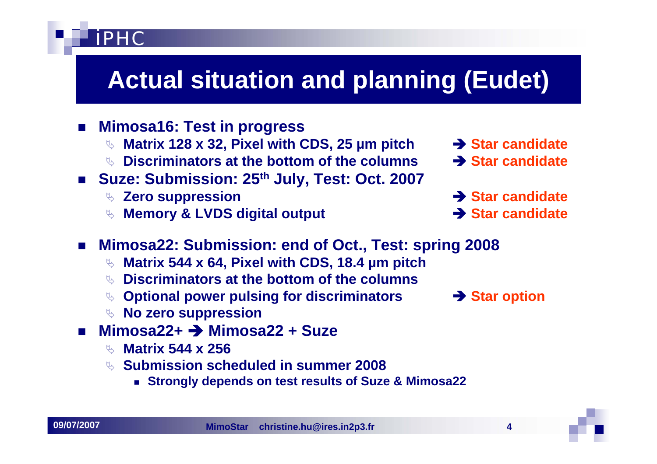# **Actual situation and planning (Eudet)**

- П **Mimosa16: Test in progress**
	- **<sup>₹</sup> Matrix 128 x 32, Pixel with CDS, 25 µm pitch → Star candidate**
	- ª **Discriminators at the bottom of the columns** Î **Star candidate**
- **Suze: Submission: 25th July, Test: Oct. 2007**
	- ◎ Zero suppression **I all a start and a start and a start and a start and a start and a start and a start and a start and a start and a start and a start and a start and a start and a start and a start and a start and a s**

iPHC

**Memory & LVDS digital output interval in the Star candidate** 

- 
- 
- 
- 
- **Mimosa22: Submission: end of Oct., Test: spring 2008**
	- ª **Matrix 544 x 64, Pixel with CDS, 18.4 µm pitch**
	- ª **Discriminators at the bottom of the columns**
	- **Optional power pulsing for discriminators → Star option**
	- ª **No zero suppression**
- Mimosa22+ → Mimosa22 + Suze
	- ª **Matrix 544 x 256**
	- ª **Submission scheduled in summer 2008**
		- **Strongly depends on test results of Suze & Mimosa22**